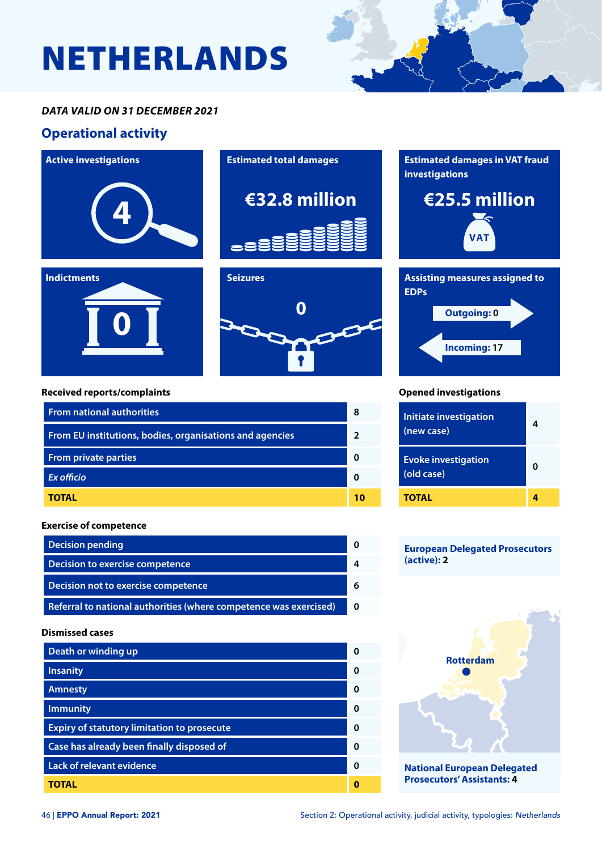# NETHERLANDS

### *DATA VALID ON 31 DECEMBER 2021*

## **Operational activity**



| <b>From national authorities</b>                         |  |
|----------------------------------------------------------|--|
| From EU institutions, bodies, organisations and agencies |  |
| <b>From private parties</b>                              |  |
| <b>Ex officio</b>                                        |  |
| TOTAL                                                    |  |

#### **Exercise of competence**

| <b>Decision pending</b>                                           |  |
|-------------------------------------------------------------------|--|
| Decision to exercise competence                                   |  |
| Decision not to exercise competence                               |  |
| Referral to national authorities (where competence was exercised) |  |

#### **Dismissed cases**

| Death or winding up                                | ŋ |
|----------------------------------------------------|---|
| <b>Insanity</b>                                    | 0 |
| <b>Amnesty</b>                                     | ŋ |
| <b>Immunity</b>                                    | Ω |
| <b>Expiry of statutory limitation to prosecute</b> | O |
| Case has already been finally disposed of          | O |
| <b>Lack of relevant evidence</b>                   | ŋ |
| TOTAL                                              |   |



#### **Opened investigations**

| <b>Initiate investigation</b><br>(new case) | 4 |
|---------------------------------------------|---|
| <b>Evoke investigation</b><br>(old case)    | ŋ |
| TOTAL                                       |   |

#### **European Delegated Prosecutors (active): 2**